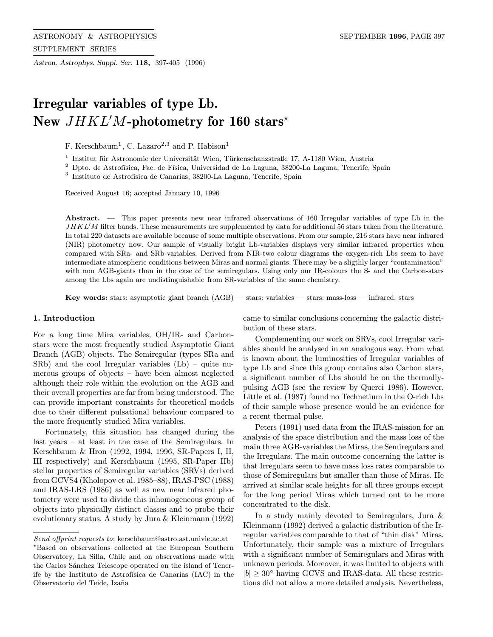Astron. Astrophys. Suppl. Ser. 118, 397-405 (1996)

# Irregular variables of type Lb. New  $JHKL'M$ -photometry for 160 stars<sup>\*</sup>

F. Kerschbaum<sup>1</sup>, C. Lazaro<sup>2,3</sup> and P. Habison<sup>1</sup>

 $^{\rm 1}$ Institut für Astronomie der Universität Wien, Türkenschanzstraße 17, A-1180 Wien, Austria

 $^2$  Dpto. de Astrofísica, Fac. de Física, Universidad de La Laguna, 38200-La Laguna, Tenerife, Spain

 $^3$  Instituto de Astrofísica de Canarias, 38200-La Laguna, Tenerife, Spain

Received August 16; accepted January 10, 1996

Abstract. — This paper presents new near infrared observations of 160 Irregular variables of type Lb in the  $JHKL'M$  filter bands. These measurements are supplemented by data for additional 56 stars taken from the literature. In total 220 datasets are available because of some multiple observations. From our sample, 216 stars have near infrared (NIR) photometry now. Our sample of visually bright Lb-variables displays very similar infrared properties when compared with SRa- and SRb-variables. Derived from NIR-two colour diagrams the oxygen-rich Lbs seem to have intermediate atmospheric conditions between Miras and normal giants. There may be a sligthly larger "contamination" with non AGB-giants than in the case of the semiregulars. Using only our IR-colours the S- and the Carbon-stars among the Lbs again are undistinguishable from SR-variables of the same chemistry.

Key words: stars: asymptotic giant branch (AGB) — stars: variables — stars: mass-loss — infrared: stars

# 1. Introduction

For a long time Mira variables, OH/IR- and Carbonstars were the most frequently studied Asymptotic Giant Branch (AGB) objects. The Semiregular (types SRa and SRb) and the cool Irregular variables (Lb) – quite numerous groups of objects – have been almost neglected although their role within the evolution on the AGB and their overall properties are far from being understood. The can provide important constraints for theoretical models due to their different pulsational behaviour compared to the more frequently studied Mira variables.

Fortunately, this situation has changed during the last years – at least in the case of the Semiregulars. In Kerschbaum & Hron (1992, 1994, 1996, SR-Papers I, II, III respectively) and Kerschbaum (1995, SR-Paper IIb) stellar properties of Semiregular variables (SRVs) derived from GCVS4 (Kholopov et al. 1985–88), IRAS-PSC (1988) and IRAS-LRS (1986) as well as new near infrared photometry were used to divide this inhomogeneous group of objects into physically distinct classes and to probe their evolutionary status. A study by Jura & Kleinmann (1992) came to similar conclusions concerning the galactic distribution of these stars.

Complementing our work on SRVs, cool Irregular variables should be analysed in an analogous way. From what is known about the luminosities of Irregular variables of type Lb and since this group contains also Carbon stars, a significant number of Lbs should be on the thermallypulsing AGB (see the review by Querci 1986). However, Little et al. (1987) found no Technetium in the O-rich Lbs of their sample whose presence would be an evidence for a recent thermal pulse.

Peters (1991) used data from the IRAS-mission for an analysis of the space distribution and the mass loss of the main three AGB-variables the Miras, the Semiregulars and the Irregulars. The main outcome concerning the latter is that Irregulars seem to have mass loss rates comparable to those of Semiregulars but smaller than those of Miras. He arrived at similar scale heights for all three groups except for the long period Miras which turned out to be more concentrated to the disk.

In a study mainly devoted to Semiregulars, Jura & Kleinmann (1992) derived a galactic distribution of the Irregular variables comparable to that of "thin disk" Miras. Unfortunately, their sample was a mixture of Irregulars with a significant number of Semiregulars and Miras with unknown periods. Moreover, it was limited to objects with  $|b| \geq 30^{\circ}$  having GCVS and IRAS-data. All these restrictions did not allow a more detailed analysis. Nevertheless,

Send offprint requests to: kerschbaum@astro.ast.univie.ac.at ?Based on observations collected at the European Southern Observatory, La Silla, Chile and on observations made with the Carlos Sánchez Telescope operated on the island of Tenerife by the Instituto de Astrofísica de Canarias (IAC) in the Observatorio del Teide, Izaña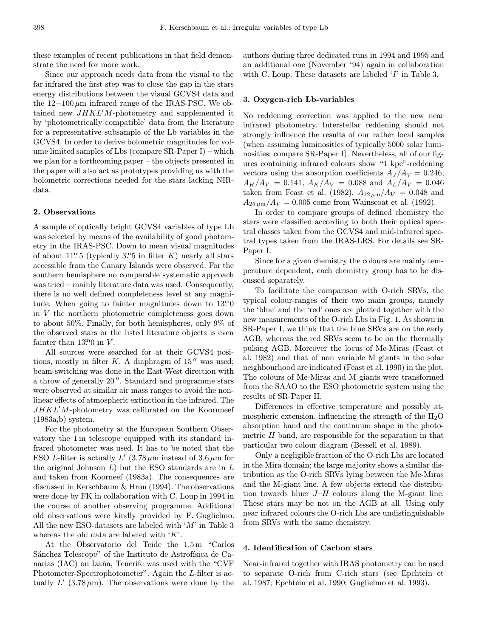these examples of recent publications in that field demonstrate the need for more work.

Since our approach needs data from the visual to the far infrared the first step was to close the gap in the stars energy distributions between the visual GCVS4 data and the  $12-100 \mu m$  infrared range of the IRAS-PSC. We obtained new  $JHKL'M$ -photometry and supplemented it by 'photometrically compatible' data from the literature for a representative subsample of the Lb variables in the GCVS4. In order to derive bolometric magnitudes for volume limited samples of Lbs (compare SR-Paper I) – which we plan for a forthcoming paper – the objects presented in the paper will also act as prototypes providing us with the bolometric corrections needed for the stars lacking NIRdata.

## 2. Observations

A sample of optically bright GCVS4 variables of type Lb was selected by means of the availability of good photometry in the IRAS-PSC. Down to mean visual magnitudes of about  $11<sup>m5</sup>$  (typically  $3<sup>m5</sup>$  in filter K) nearly all stars accessible from the Canary Islands were observed. For the southern hemisphere no comparable systematic approach was tried – mainly literature data was used. Consequently, there is no well defined completeness level at any magnitude. When going to fainter magnitudes down to  $13<sup>m</sup>0$ in V the northern photometric completeness goes down to about 50%. Finally, for both hemispheres, only 9% of the observed stars or the listed literature objects is even fainter than  $13<sup>m</sup>0$  in V.

All sources were searched for at their GCVS4 positions, mostly in filter  $K$ . A diaphragm of  $15''$  was used; beam-switching was done in the East-West direction with a throw of generally  $20$ ". Standard and programme stars were observed at similar air mass ranges to avoid the nonlinear effects of atmospheric extinction in the infrared. The  $JHKL'M$ -photometry was calibrated on the Koornneef (1983a,b) system.

For the photometry at the European Southern Observatory the 1 m telescope equipped with its standard infrared photometer was used. It has to be noted that the ESO L-filter is actually L'  $(3.78 \,\mu \text{m}$  instead of  $3.6 \,\mu \text{m}$  for the original Johnson  $L$ ) but the ESO standards are in  $L$ and taken from Koorneef (1983a). The consequences are discussed in Kerschbaum & Hron (1994). The observations were done by FK in collaboration with C. Loup in 1994 in the course of another observing programme. Additional old observations were kindly provided by F. Guglielmo. All the new ESO-datasets are labeled with  $'M'$  in Table 3 whereas the old data are labeled with  $'K$ .

At the Observatorio del Teide the 1.5 m "Carlos Sánchez Telescope" of the Instituto de Astrofísica de Canarias (IAC) on Izaña, Tenerife was used with the "CVF Photometer-Spectrophotometer". Again the L-filter is actually  $L'(3.78 \,\mu\text{m})$ . The observations were done by the authors during three dedicated runs in 1994 and 1995 and an additional one (November '94) again in collaboration with C. Loup. These datasets are labeled 'I' in Table 3.

## 3. Oxygen-rich Lb-variables

No reddening correction was applied to the new near infrared photometry. Interstellar reddening should not strongly influence the results of our rather local samples (when assuming luminosities of typically 5000 solar luminosities; compare SR-Paper I). Nevertheless, all of our figures containing infrared colours show "1 kpc"-reddening vectors using the absorption coefficients  $A_J/A_V = 0.246$ ,  $A_H/A_V = 0.141, A_K/A_V = 0.088$  and  $A_L/A_V = 0.046$ taken from Feast et al. (1982).  $A_{12 \mu m}/A_V = 0.048$  and  $A_{25\,\mu\text{m}}/A_V = 0.005$  come from Wainscoat et al. (1992).

In order to compare groups of defined chemistry the stars were classified according to both their optical spectral classes taken from the GCVS4 and mid-infrared spectral types taken from the IRAS-LRS. For details see SR-Paper I.

Since for a given chemistry the colours are mainly temperature dependent, each chemistry group has to be discussed separately.

To facilitate the comparison with O-rich SRVs, the typical colour-ranges of their two main groups, namely the 'blue' and the 'red' ones are plotted together with the new measurements of the O-rich Lbs in Fig. 1. As shown in SR-Paper I, we think that the blue SRVs are on the early AGB, whereas the red SRVs seem to be on the thermally pulsing AGB. Moreover the locus of Me-Miras (Feast et al. 1982) and that of non variable M giants in the solar neighbourhood are indicated (Feast et al. 1990) in the plot. The colours of Me-Miras and M giants were transformed from the SAAO to the ESO photometric system using the results of SR-Paper II.

Differences in effective temperature and possibly atmospheric extension, influencing the strength of the  $H_2O$ absorption band and the continuum shape in the photometric H band, are responsible for the separation in that particular two colour diagram (Bessell et al. 1989).

Only a negligible fraction of the O-rich Lbs are located in the Mira domain; the large majority shows a similar distribution as the O-rich SRVs lying between the Me-Miras and the M-giant line. A few objects extend the distribution towards bluer  $J-H$  colours along the M-giant line. These stars may be not on the AGB at all. Using only near infrared colours the O-rich Lbs are undistinguishable from SRVs with the same chemistry.

## 4. Identification of Carbon stars

Near-infrared together with IRAS photometry can be used to separate O-rich from C-rich stars (see Epchtein et al. 1987; Epchtein et al. 1990; Guglielmo et al. 1993).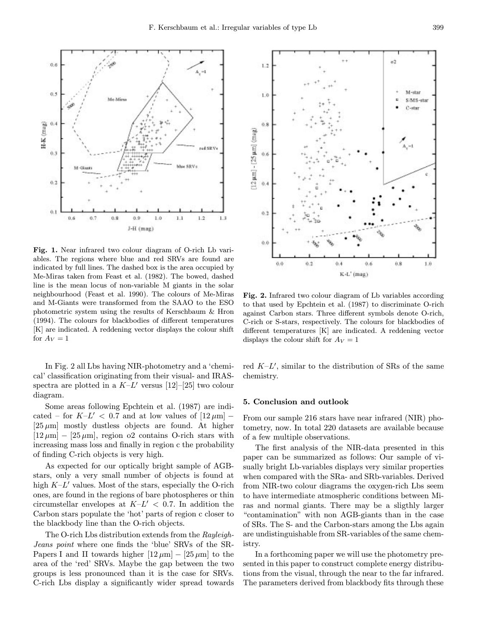

Fig. 1. Near infrared two colour diagram of O-rich Lb variables. The regions where blue and red SRVs are found are indicated by full lines. The dashed box is the area occupied by Me-Miras taken from Feast et al. (1982). The bowed, dashed line is the mean locus of non-variable M giants in the solar neighbourhood (Feast et al. 1990). The colours of Me-Miras and M-Giants were transformed from the SAAO to the ESO photometric system using the results of Kerschbaum & Hron (1994). The colours for blackbodies of different temperatures [K] are indicated. A reddening vector displays the colour shift for  $A_V = 1$ 

In Fig. 2 all Lbs having NIR-photometry and a 'chemical' classification originating from their visual- and IRASspectra are plotted in a  $K-L'$  versus [12]–[25] two colour diagram.

Some areas following Epchtein et al. (1987) are indicated – for  $K-L'$  < 0.7 and at low values of  $[12 \,\mu m]$  –  $[25 \,\mu m]$  mostly dustless objects are found. At higher  $[12 \,\mu\text{m}]$  –  $[25 \,\mu\text{m}]$ , region o2 contains O-rich stars with increasing mass loss and finally in region c the probability of finding C-rich objects is very high.

As expected for our optically bright sample of AGBstars, only a very small number of objects is found at high  $K-L'$  values. Most of the stars, especially the O-rich ones, are found in the regions of bare photospheres or thin circumstellar envelopes at  $K-L' < 0.7$ . In addition the Carbon stars populate the 'hot' parts of region c closer to the blackbody line than the O-rich objects.

The O-rich Lbs distribution extends from the Rayleigh-Jeans point where one finds the 'blue' SRVs of the SR-Papers I and II towards higher  $[12 \mu m] - [25 \mu m]$  to the area of the 'red' SRVs. Maybe the gap between the two groups is less pronounced than it is the case for SRVs. C-rich Lbs display a significantly wider spread towards



Fig. 2. Infrared two colour diagram of Lb variables according to that used by Epchtein et al. (1987) to discriminate O-rich against Carbon stars. Three different symbols denote O-rich, C-rich or S-stars, respectively. The colours for blackbodies of different temperatures [K] are indicated. A reddening vector displays the colour shift for  $A_V = 1$ 

red  $K-L'$ , similar to the distribution of SRs of the same chemistry.

#### 5. Conclusion and outlook

From our sample 216 stars have near infrared (NIR) photometry, now. In total 220 datasets are available because of a few multiple observations.

The first analysis of the NIR-data presented in this paper can be summarized as follows: Our sample of visually bright Lb-variables displays very similar properties when compared with the SRa- and SRb-variables. Derived from NIR-two colour diagrams the oxygen-rich Lbs seem to have intermediate atmospheric conditions between Miras and normal giants. There may be a sligthly larger "contamination" with non AGB-giants than in the case of SRs. The S- and the Carbon-stars among the Lbs again are undistinguishable from SR-variables of the same chemistry.

In a forthcoming paper we will use the photometry presented in this paper to construct complete energy distributions from the visual, through the near to the far infrared. The parameters derived from blackbody fits through these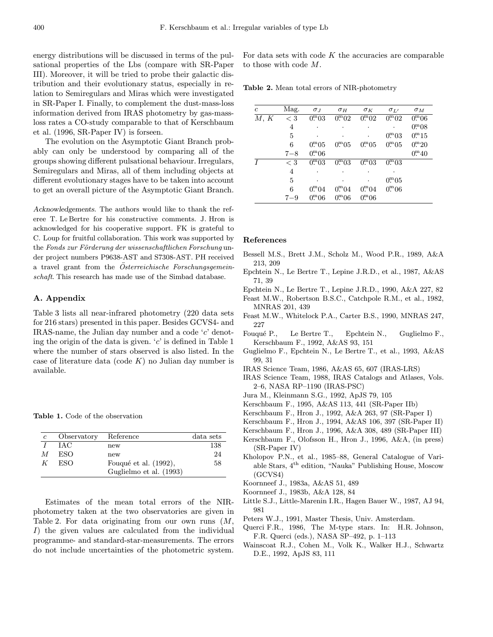energy distributions will be discussed in terms of the pulsational properties of the Lbs (compare with SR-Paper III). Moreover, it will be tried to probe their galactic distribution and their evolutionary status, especially in relation to Semiregulars and Miras which were investigated in SR-Paper I. Finally, to complement the dust-mass-loss information derived from IRAS photometry by gas-massloss rates a CO-study comparable to that of Kerschbaum et al. (1996, SR-Paper IV) is forseen.

The evolution on the Asymptotic Giant Branch probably can only be understood by comparing all of the groups showing different pulsational behaviour. Irregulars, Semiregulars and Miras, all of them including objects at different evolutionary stages have to be taken into account to get an overall picture of the Asymptotic Giant Branch.

Acknowledgements. The authors would like to thank the referee T. Le Bertre for his constructive comments. J. Hron is acknowledged for his cooperative support. FK is grateful to C. Loup for fruitful collaboration. This work was supported by the Fonds zur Förderung der wissenschaftlichen Forschung under project numbers P9638-AST and S7308-AST. PH received a travel grant from the Osterreichische Forschungsgemeinschaft. This research has made use of the Simbad database.

#### A. Appendix

Table 3 lists all near-infrared photometry (220 data sets for 216 stars) presented in this paper. Besides GCVS4- and IRAS-name, the Julian day number and a code 'c' denoting the origin of the data is given.  $c'$  is defined in Table 1 where the number of stars observed is also listed. In the case of literature data (code  $K$ ) no Julian day number is available.

Table 1. Code of the observation

| c | Observatory | Reference               | data sets |
|---|-------------|-------------------------|-----------|
|   | <b>IAC</b>  | new                     | 138       |
| M | ESO         | new                     | 24        |
| K | ESO         | Fouqué et al. (1992),   | 58        |
|   |             | Guglielmo et al. (1993) |           |

Estimates of the mean total errors of the NIRphotometry taken at the two observatories are given in Table 2. For data originating from our own runs  $(M,$ I) the given values are calculated from the individual programme- and standard-star-measurements. The errors do not include uncertainties of the photometric system.

For data sets with code  $K$  the accuracies are comparable to those with code M.

Table 2. Mean total errors of NIR-photometry

| c    | Mag.    | $\sigma_J$          | $\sigma_H$     | $\sigma_K$    | $\sigma_{L'}$       | $\sigma_M$    |
|------|---------|---------------------|----------------|---------------|---------------------|---------------|
| M, K | $<$ 3   | $0^{\rm m}03$       | $0^{\rm m}02$  | $0^{\rm m}02$ | $0^{\rm m}02$       | $0^{\rm m}06$ |
|      | 4       |                     |                |               |                     | $0^{\rm m}08$ |
|      | 5       |                     |                |               | $0^{\mathrm{m}}.03$ | $0^{\rm m}15$ |
|      | 6       | 0 <sup>m</sup> 05   | $0^{\rm m}05$  | $0^{\rm m}05$ | $0^{\rm m}05$       | $0^{m}20$     |
|      | $7 - 8$ | $0^{\rm m}06$       |                |               |                     | $0^{\rm m}40$ |
|      | $<$ 3   | $0^{\rm m}$ 03      | $0^{\rm m}0.3$ | $0^{\rm m}03$ | $0^{\rm m}03$       |               |
|      | 4       |                     |                |               |                     |               |
|      | 5       |                     |                |               | $0^{\mathrm{m}} 05$ |               |
|      | 6       | $0^{\mathrm{m}}.04$ | $0^{\rm m}04$  | $0^{\rm m}04$ | 0 <sup>m</sup> 06   |               |
|      | $7 - 9$ | $0^{\rm m}06$       | $0^{\rm m}06$  | $0^{\rm m}06$ |                     |               |

#### References

- Bessell M.S., Brett J.M., Scholz M., Wood P.R., 1989, A&A 213, 209
- Epchtein N., Le Bertre T., Lepine J.R.D., et al., 1987, A&AS 71, 39
- Epchtein N., Le Bertre T., Lepine J.R.D., 1990, A&A 227, 82
- Feast M.W., Robertson B.S.C., Catchpole R.M., et al., 1982, MNRAS 201, 439
- Feast M.W., Whitelock P.A., Carter B.S., 1990, MNRAS 247, 227
- Fouqué P., Le Bertre T., Epchtein N., Guglielmo F., Kerschbaum F., 1992, A&AS 93, 151
- Guglielmo F., Epchtein N., Le Bertre T., et al., 1993, A&AS 99, 31
- IRAS Science Team, 1986, A&AS 65, 607 (IRAS-LRS)
- IRAS Science Team, 1988, IRAS Catalogs and Atlases, Vols. 2–6, NASA RP–1190 (IRAS-PSC)
- Jura M., Kleinmann S.G., 1992, ApJS 79, 105
- Kerschbaum F., 1995, A&AS 113, 441 (SR-Paper IIb)
- Kerschbaum F., Hron J., 1992, A&A 263, 97 (SR-Paper I)
- Kerschbaum F., Hron J., 1994, A&AS 106, 397 (SR-Paper II)
- Kerschbaum F., Hron J., 1996, A&A 308, 489 (SR-Paper III)
- Kerschbaum F., Olofsson H., Hron J., 1996, A&A, (in press) (SR-Paper IV)
- Kholopov P.N., et al., 1985–88, General Catalogue of Variable Stars, 4th edition, "Nauka" Publishing House, Moscow (GCVS4)
- Koornneef J., 1983a, A&AS 51, 489
- Koornneef J., 1983b, A&A 128, 84
- Little S.J., Little-Marenin I.R., Hagen Bauer W., 1987, AJ 94, 981
- Peters W.J., 1991, Master Thesis, Univ. Amsterdam.
- Querci F.R., 1986, The M-type stars. In: H.R. Johnson, F.R. Querci (eds.), NASA SP–492, p. 1–113
- Wainscoat R.J., Cohen M., Volk K., Walker H.J., Schwartz D.E., 1992, ApJS 83, 111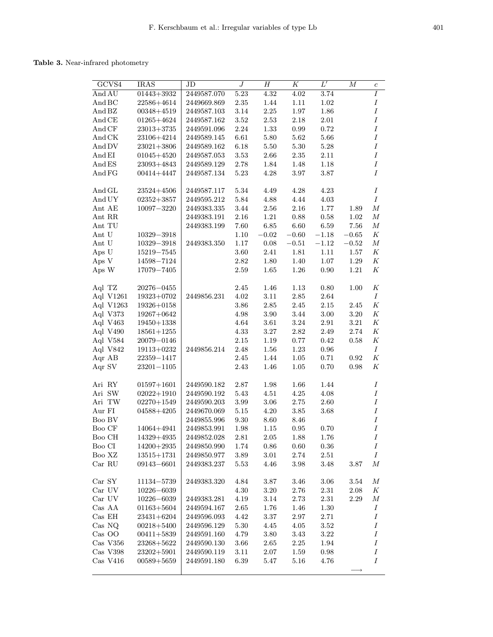# Table 3. Near-infrared photometry

| GCVS4     | <b>IRAS</b>      | JD          | $\boldsymbol{J}$ | $\boldsymbol{H}$ | $\overline{K}$ | $L^{\prime}$ | $\boldsymbol{M}$ | $\boldsymbol{c}$ |
|-----------|------------------|-------------|------------------|------------------|----------------|--------------|------------------|------------------|
| And AU    | $01443 + 3932$   | 2449587.070 | 5.23             | 4.32             | 4.02           | 3.74         |                  | $\overline{I}$   |
| And BC    | 22586+4614       | 2449669.869 | $2.35\,$         | $1.44\,$         | 1.11           | $1.02\,$     |                  | Ι                |
| And BZ    | $00348 + 4519$   | 2449587.103 | $3.14\,$         | 2.25             | $1.97\,$       | 1.86         |                  | Ι                |
| And CE    | $01265 + 4624$   | 2449587.162 | $3.52\,$         | $2.53\,$         | 2.18           | 2.01         |                  | Ι                |
| And CF    | $23013 + 3735$   | 2449591.096 | 2.24             | 1.33             | 0.99           | 0.72         |                  | $\cal I$         |
| And CK    | 23106+4214       | 2449589.145 | $6.61\,$         | $5.80\,$         | 5.62           | $5.66\,$     |                  | $\cal I$         |
| And DV    | $23021 + 3806$   | 2449589.162 | 6.18             | 5.50             | 5.30           | 5.28         |                  | $\cal I$         |
| And EI    | $01045 + 4520$   | 2449587.053 | $3.53\,$         | $2.66\,$         | 2.35           | $2.11\,$     |                  | $\cal I$         |
| And ES    | 23093+4843       | 2449589.129 | 2.78             | 1.84             | 1.48           | 1.18         |                  | Ι                |
| And FG    | $00414 + 4447$   | 2449587.134 | 5.23             | 4.28             | 3.97           | 3.87         |                  | I                |
| And GL    | $23524 + 4506$   | 2449587.117 | 5.34             | 4.49             | 4.28           | 4.23         |                  | Ι                |
| And UY    | $02352 + 3857$   | 2449595.212 | 5.84             | 4.88             | 4.44           | 4.03         |                  | $\cal I$         |
| Ant AE    | $10097 - 3220$   | 2449383.335 | 3.44             | 2.56             | 2.16           | 1.77         | 1.89             | $\boldsymbol{M}$ |
| Ant RR    |                  | 2449383.191 | $2.16\,$         | $1.21\,$         | $0.88\,$       | 0.58         | 1.02             | $\boldsymbol{M}$ |
| Ant TU    |                  | 2449383.199 | 7.60             | $6.85\,$         | 6.60           | 6.59         | 7.56             | $\boldsymbol{M}$ |
| Ant U     | $10329 - 3918$   |             | $1.10\,$         | $-0.02$          | $-0.60$        | $-1.18$      | $-0.65$          | $\cal K$         |
| Ant U     | $10329 - 3918$   | 2449383.350 | $1.17\,$         | $0.08\,$         | $-0.51$        | $-1.12$      | $-0.52$          | $\cal M$         |
| Aps U     | $15219 - 7545$   |             | 3.60             | 2.41             | 1.81           | 1.11         | 1.57             | $\cal K$         |
|           |                  |             |                  |                  |                |              |                  |                  |
| Aps V     | 14598-7124       |             | 2.82             | 1.80             | 1.40           | 1.07         | 1.29             | Κ<br>Κ           |
| Aps W     | 17079-7405       |             | 2.59             | 1.65             | $1.26\,$       | 0.90         | 1.21             |                  |
| Aql TZ    | $20276 - 0455$   |             | 2.45             | 1.46             | $1.13\,$       | $0.80\,$     | 1.00             | Κ                |
| Aql V1261 | 19323+0702       | 2449856.231 | 4.02             | $3.11\,$         | 2.85           | 2.64         |                  | $\cal I$         |
| Aql V1263 | $19326 + 0158$   |             | 3.86             | $2.85\,$         | 2.45           | 2.15         | $2.45\,$         | Κ                |
| Aql V373  | 19267+0642       |             | 4.98             | 3.90             | 3.44           | 3.00         | 3.20             | Κ                |
| Aql V463  | $19450 + 1338$   |             | $4.64\,$         | 3.61             | $3.24\,$       | 2.91         | 3.21             | Κ                |
| Aql V490  | $18561 + 1255$   |             | $4.33\,$         | $3.27\,$         | $2.82\,$       | 2.49         | 2.74             | $\cal K$         |
| Aql V584  | 20079-0146       |             | 2.15             | $1.19\,$         | 0.77           | 0.42         | 0.58             | $\cal K$         |
| Aql V842  | $19113 + 0232$   | 2449856.214 | 2.48             | $1.56\,$         | 1.23           | 0.96         |                  | $\cal I$         |
| Aqr AB    | $22359 - 1417$   |             | 2.45             | $1.44\,$         | $1.05\,$       | 0.71         | 0.92             | Κ                |
| Aqr SV    | $23201 - 1105$   |             | 2.43             | 1.46             | 1.05           | 0.70         | 0.98             | Κ                |
|           |                  |             |                  |                  |                |              |                  |                  |
| Ari RY    | $01597 + 1601$   | 2449590.182 | $2.87\,$         | $1.98\,$         | 1.66           | 1.44         |                  | $\cal I$         |
| Ari SW    | $02022 + 1910$   | 2449590.192 | $5.43\,$         | 4.51             | 4.25           | 4.08         |                  | Ι                |
| Ari TW    | $02270 + 1549$   | 2449590.203 | 3.99             | $3.06\,$         | $2.75\,$       | 2.60         |                  | $\boldsymbol{I}$ |
| Aur FI    | $04588 + 4205$   | 2449670.069 | $5.15\,$         | 4.20             | $3.85\,$       | 3.68         |                  | $\cal I$         |
| Boo BV    |                  | 2449855.996 | 9.30             | 8.60             | 8.46           |              |                  | Ι                |
| Boo CF    | $14064 + 4941$   | 2449853.991 | 1.98             | 1.15             | 0.95           | 0.70         |                  | I                |
| Boo CH    | $14329\!+\!4935$ | 2449852.028 | $2.81\,$         | $2.05\,$         | $1.88\,$       | 1.76         |                  | $\cal I$         |
| Boo CI    | $14200 + 2935$   | 2449850.990 | 1.74             | 0.86             | 0.60           | 0.36         |                  | Ι                |
| Boo XZ    | $13515 + 1731$   | 2449850.977 | 3.89             | 3.01             | 2.74           | 2.51         |                  | $\cal I$         |
| Car RU    | 09143-6601       | 2449383.237 | 5.53             | 4.46             | $3.98\,$       | 3.48         | 3.87             | $_{M}$           |
| Car SY    | 11134-5739       | 2449383.320 | 4.84             | 3.87             | 3.46           | 3.06         | 3.54             | $_{M}$           |
| Car UV    | $10226 - 6039$   |             | $4.30\,$         | 3.20             | $2.76\,$       | $2.31\,$     | 2.08             | Κ                |
| Car UV    | $10226 - 6039$   | 2449383.281 | $4.19\,$         | 3.14             | $2.73\,$       | $2.31\,$     | 2.29             | $\boldsymbol{M}$ |
| Cas AA    | $01163 + 5604$   | 2449594.167 | 2.65             | 1.76             | 1.46           | 1.30         |                  | $\boldsymbol{I}$ |
| Cas EH    | $23431 + 6204$   | 2449596.093 | 4.42             | 3.37             | 2.97           | 2.71         |                  | Ι                |
| Cas NQ    | $00218 + 5400$   | 2449596.129 | 5.30             | 4.45             | 4.05           | 3.52         |                  | Ι                |
| Cas OO    | $00411 + 5839$   | 2449591.160 | 4.79             |                  |                |              |                  | I                |
|           |                  |             |                  | 3.80             | 3.43           | 3.22         |                  | Ι                |
| Cas V356  | $23268 + 5622$   | 2449590.130 | 3.66             | 2.65             | 2.25           | 1.94         |                  |                  |
| Cas V398  | $23202 + 5901$   | 2449590.119 | 3.11             | 2.07             | 1.59           | 0.98         |                  | I                |
| Cas V416  | $00589 + 5659$   | 2449591.180 | 6.39             | 5.47             | 5.16           | 4.76         |                  | $\cal I$         |
|           |                  |             |                  |                  |                |              |                  |                  |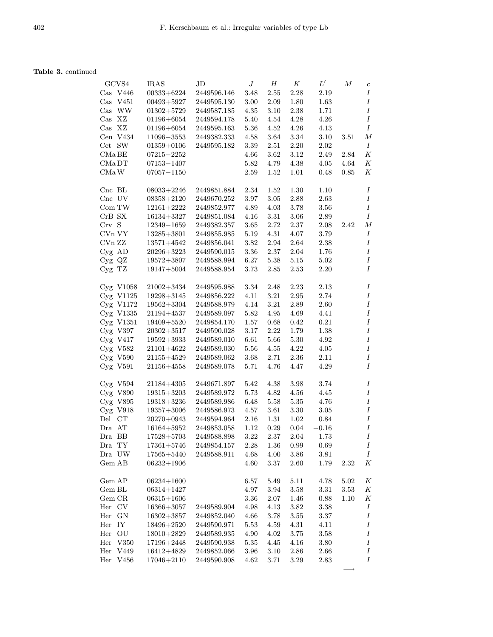# Table 3. continued

|           | GCVS4                               | <b>IRAS</b>    | JD          | J        | Η        | Κ        | $L^{\prime}$ | М    | $\boldsymbol{c}$ |
|-----------|-------------------------------------|----------------|-------------|----------|----------|----------|--------------|------|------------------|
|           | $\overline{\text{Cas }\text{V446}}$ | $00333 + 6224$ | 2449596.146 | 3.48     | $2.55\,$ | 2.28     | 2.19         |      | I                |
| $\rm Cas$ | V451                                | $00493 + 5927$ | 2449595.130 | 3.00     | 2.09     | 1.80     | $1.63\,$     |      | $\cal I$         |
|           |                                     |                |             |          |          |          |              |      | $\cal I$         |
| $\cos$    | <b>WW</b>                           | $01302 + 5729$ | 2449587.185 | 4.35     | 3.10     | 2.38     | 1.71         |      |                  |
| $\rm Cas$ | XZ                                  | $01196 + 6054$ | 2449594.178 | 5.40     | 4.54     | 4.28     | 4.26         |      | Ι                |
| $\rm Cas$ | XZ                                  | $01196 + 6054$ | 2449595.163 | 5.36     | 4.52     | 4.26     | 4.13         |      | Ι                |
|           | Cen V434                            | $11096 - 3553$ | 2449382.333 | 4.58     | 3.64     | 3.34     | 3.10         | 3.51 | $\boldsymbol{M}$ |
| Cet SW    |                                     | $01359 + 0106$ | 2449595.182 | 3.39     | 2.51     | $2.20\,$ | 2.02         |      | Ι                |
| CMa BE    |                                     | 07215-2252     |             | 4.66     | 3.62     | 3.12     | 2.49         | 2.84 | $\cal K$         |
| CMaDT     |                                     | $07153 - 1407$ |             | 5.82     | 4.79     | 4.38     | 4.05         | 4.64 | $\cal K$         |
| CMa W     |                                     | $07057 - 1150$ |             | 2.59     | 1.52     | 1.01     | 0.48         | 0.85 | $_{K}$           |
| $Cnc$ BL  |                                     | $08033 + 2246$ | 2449851.884 | 2.34     | 1.52     | 1.30     | 1.10         |      | $\cal I$         |
| Cnc UV    |                                     | $08358 + 2120$ | 2449670.252 | 3.97     | $3.05\,$ | $2.88\,$ | 2.63         |      | $\boldsymbol{I}$ |
| Com TW    |                                     | $12161 + 2222$ | 2449852.977 | 4.89     | $4.03\,$ | 3.78     | 3.56         |      | $\boldsymbol{I}$ |
| CrB SX    |                                     | $16134 + 3327$ | 2449851.084 | 4.16     | 3.31     | 3.06     | 2.89         |      | $\cal I$         |
| Crv S     |                                     | $12349 - 1659$ | 2449382.357 | $3.65\,$ | $2.72\,$ | 2.37     | 2.08         | 2.42 | М                |
| C Vn VY   |                                     | $13285 + 3801$ | 2449855.985 | 5.19     | 4.31     | 4.07     | 3.79         |      | Ι                |
| CVn ZZ    |                                     |                |             |          |          |          |              |      | $\boldsymbol{I}$ |
|           |                                     | $13571 + 4542$ | 2449856.041 | 3.82     | 2.94     | 2.64     | 2.38         |      |                  |
| $Cyg$ AD  |                                     | $20296 + 3223$ | 2449590.015 | $3.36\,$ | 2.37     | 2.04     | 1.76         |      | Ι                |
| Cyg QZ    |                                     | $19572 + 3807$ | 2449588.994 | $6.27\,$ | $5.38\,$ | $5.15\,$ | 5.02         |      | $\cal I$         |
| Cyg TZ    |                                     | $19147 + 5004$ | 2449588.954 | 3.73     | 2.85     | 2.53     | 2.20         |      | $\cal I$         |
|           | $Cyg$ V1058                         | $21002 + 3434$ | 2449595.988 | 3.34     | 2.48     | 2.23     | 2.13         |      | $\cal I$         |
|           | $Cyg$ V1125                         | $19298 + 3145$ | 2449856.222 | 4.11     | 3.21     | 2.95     | 2.74         |      | $\boldsymbol{I}$ |
|           | Cyg V1172                           | $19562 + 3304$ | 2449588.979 | $4.14\,$ | 3.21     | 2.89     | 2.60         |      | $\boldsymbol{I}$ |
|           | Cyg V1335                           | $21194 + 4537$ | 2449589.097 | 5.82     | 4.95     | 4.69     | 4.41         |      | $\cal I$         |
|           | Cyg V1351                           | $19409 + 5520$ | 2449854.170 | 1.57     | $0.68\,$ | 0.42     | 0.21         |      | $\cal I$         |
|           | $Cyg$ V397                          | $20302 + 3517$ | 2449590.028 | $3.17\,$ | 2.22     | 1.79     | 1.38         |      | $\boldsymbol{I}$ |
|           | $Cyg$ V417                          | $19592 + 3933$ | 2449589.010 | 6.61     | 5.66     | 5.30     | 4.92         |      | $\cal I$         |
|           | $Cyg$ V582                          | $21101 + 4622$ | 2449589.030 | 5.56     | 4.55     | 4.22     | 4.05         |      | Ι                |
|           | $Cyg$ V590                          | $21155 + 4529$ | 2449589.062 | $3.68\,$ | 2.71     | 2.36     | 2.11         |      | $\cal I$         |
|           | $Cyg$ V591                          | $21156 + 4558$ | 2449589.078 | 5.71     | 4.76     | 4.47     | 4.29         |      | $\cal I$         |
|           |                                     |                |             |          |          |          |              |      |                  |
|           | $Cyg$ V594                          | $21184 + 4305$ | 2449671.897 | 5.42     | 4.38     | 3.98     | 3.74         |      | Ι                |
|           | $Cyg$ V890                          | $19315 + 3203$ | 2449589.972 | 5.73     | 4.82     | 4.56     | 4.45         |      | $\cal I$         |
|           | $Cyg$ V895                          | $19318 + 3236$ | 2449589.986 | 6.48     | 5.58     | $5.35\,$ | 4.76         |      | $\cal I$         |
|           | $Cyg$ V918                          | $19357 + 3006$ | 2449586.973 | $4.57\,$ | $3.61\,$ | $3.30\,$ | $3.05\,$     |      | $\boldsymbol{I}$ |
| Del       | CT                                  | $20270+0943$   | 2449594.964 | 2.16     | 1.31     | 1.02     | 0.84         |      | $\cal I$         |
| Dra AT    |                                     | $16164 + 5952$ | 2449853.058 | 1.12     | 0.29     | 0.04     | $-0.16$      |      | $\cal I$         |
| Dra BB    |                                     | $17528 + 5703$ | 2449588.898 | 3.22     | 2.37     | 2.04     | 1.73         |      | Ι                |
| Dra TY    |                                     | $17361 + 5746$ | 2449854.157 | 2.28     | 1.36     | 0.99     | 0.69         |      | Ι                |
| Dra UW    |                                     | 17565+5440     | 2449588.911 | 4.68     | 4.00     | $3.86\,$ | $3.81\,$     |      | $\cal I$         |
| Gem AB    |                                     | $06232 + 1906$ |             | 4.60     | 3.37     | 2.60     | 1.79         | 2.32 | Κ                |
|           |                                     |                |             |          |          |          |              |      |                  |
| Gem AP    |                                     | $06234 + 1600$ |             | 6.57     | 5.49     | 5.11     | 4.78         | 5.02 | Κ                |
| Gem BL    |                                     | $06314 + 1427$ |             | 4.97     | 3.94     | 3.58     | 3.31         | 3.53 | Κ                |
| Gem CR    |                                     | $06315 + 1606$ |             | 3.36     | 2.07     | 1.46     | 0.88         | 1.10 | Κ                |
| Her CV    |                                     | $16366 + 3057$ | 2449589.904 | 4.98     | 4.13     | 3.82     | 3.38         |      | Ι                |
| Her       | GN                                  | $16302 + 3857$ | 2449852.040 | 4.66     | 3.78     | 3.55     | 3.37         |      | $\cal I$         |
| Her       | IY                                  | 18496+2520     | 2449590.971 | 5.53     | 4.59     | 4.31     | 4.11         |      | Ι                |
| Her       | $\overline{\mathrm{OU}}$            | $18010 + 2829$ | 2449589.935 | 4.90     | 4.02     | 3.75     | 3.58         |      | Ι                |
| Her       | V350                                | 17196+2448     | 2449590.938 | 5.35     | 4.45     | 4.16     | 3.80         |      | Ι                |
| $\rm Her$ | ${\rm V}449$                        | 16412+4829     | 2449852.066 | 3.96     | $3.10\,$ | 2.86     | 2.66         |      | Ι                |
| Her       | V456                                | 17046+2110     | 2449590.908 | 4.62     | 3.71     | 3.29     | 2.83         |      | Ι                |
|           |                                     |                |             |          |          |          |              |      |                  |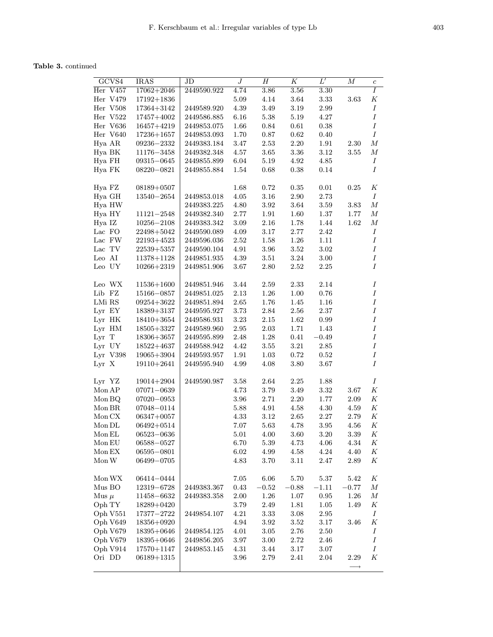Table 3. continued

| GCVS4                                  | <b>IRAS</b>      | $_{\rm JD}$ | $\boldsymbol{J}$  | $H_{\rm}$    | K        | $L^{\prime}$ | $\boldsymbol{M}$  | $\boldsymbol{c}$ |
|----------------------------------------|------------------|-------------|-------------------|--------------|----------|--------------|-------------------|------------------|
| Her V457                               | $17062 + 2046$   | 2449590.922 | 4.74              | $3.86\,$     | $3.56\,$ | $3.30\,$     |                   | I                |
| Her V479                               | $17192 + 1836$   |             | $5.09\,$          | 4.14         | $3.64\,$ | $3.33\,$     | 3.63              | Κ                |
| Her V508                               | 17364+3142       | 2449589.920 | $4.39\,$          | $3.49\,$     | 3.19     | 2.99         |                   | $\boldsymbol{I}$ |
| Her V522                               | 17457+4002       | 2449586.885 | $6.16\,$          | $5.38\,$     | $5.19\,$ | 4.27         |                   | $\cal I$         |
| Her V636                               | $16457 + 4219$   | 2449853.075 | 1.66              | $0.84\,$     | 0.61     | 0.38         |                   | $\cal I$         |
| Her V640                               | $17236 + 1657$   | 2449853.093 | 1.70              | 0.87         | 0.62     | 0.40         |                   | $\cal I$         |
| Hya AR                                 | 09236-2332       | 2449383.184 | 3.47              | 2.53         | 2.20     | 1.91         | $2.30\,$          | $\boldsymbol{M}$ |
| Hya BK                                 | $11176 - 3458$   | 2449382.348 | $4.57\,$          | $3.65\,$     | 3.36     | 3.12         | 3.55              | $\boldsymbol{M}$ |
| Hya FH                                 | 09315-0645       | 2449855.899 | $6.04\,$          | 5.19         | 4.92     | 4.85         |                   | Ι                |
| Hya FK                                 | $08220 - 0821$   | 2449855.884 | 1.54              | 0.68         | 0.38     | $0.14\,$     |                   | $\boldsymbol{I}$ |
|                                        |                  |             |                   |              |          |              |                   |                  |
| Hya FZ                                 | $08189 + 0507$   |             | 1.68              | 0.72         | 0.35     | 0.01         | 0.25              | Κ                |
| Hya GH                                 | $13540 - 2654$   | 2449853.018 | $4.05\,$          | $3.16\,$     | 2.90     | 2.73         |                   | $\boldsymbol{I}$ |
| Hya HW                                 |                  | 2449383.225 | 4.80              | $3.92\,$     | 3.64     | $3.59\,$     | 3.83              | $\cal M$         |
| Hya HY                                 | $11121 - 2548$   | 2449382.340 | $2.77\,$          | 1.91         | 1.60     | $1.37\,$     | 1.77              | $\boldsymbol{M}$ |
| Hya IZ                                 | $10256 - 2108$   | 2449383.342 | $3.09\,$          | 2.16         | 1.78     | $1.44\,$     | 1.62              | $\cal M$         |
| Lac FO                                 | $22498 + 5042$   | 2449590.089 | 4.09              | $3.17\,$     | 2.77     | 2.42         |                   | $\cal I$         |
| $\rm{Lac}$ $\rm{FW}$                   | $22193\!+\!4523$ | 2449596.036 | $2.52\,$          | 1.58         | $1.26\,$ | 1.11         |                   | $\cal I$         |
| $\rm Lac\,$ $\rm TV$                   | $22539 + 5357$   | 2449590.104 | 4.91              | 3.96         | 3.52     | 3.02         |                   | $\cal I$         |
| Leo AI                                 | $11378 + 1128$   | 2449851.935 | 4.39              | 3.51         | 3.24     | 3.00         |                   | $\cal I$         |
| Leo UY                                 | $10266 + 2319$   | 2449851.906 | 3.67              | 2.80         | 2.52     | 2.25         |                   | $\cal I$         |
|                                        |                  |             |                   |              |          |              |                   |                  |
| Leo WX                                 | $11536 + 1600$   | 2449851.946 | 3.44              | 2.59         | 2.33     | 2.14         |                   | $\cal I$         |
| Lib FZ                                 | $15166 - 0857$   | 2449851.025 | $2.13\,$          | $1.26\,$     | 1.00     | $0.76\,$     |                   | $\cal I$         |
| LMi RS                                 | $09254 + 3622$   | 2449851.894 | $2.65\,$          | 1.76         | $1.45\,$ | 1.16         |                   | $\cal I$         |
| Lyr EY                                 | $18389 + 3137$   | 2449595.927 | $3.73\,$          | $2.84\,$     | 2.56     | 2.37         |                   | $\cal I$         |
| Lyr HK                                 | $18410 + 3654$   | 2449586.931 | $3.23\,$          | $2.15\,$     | 1.62     | $\rm 0.99$   |                   | $\cal I$         |
| Lyr HM                                 | $18505 + 3327$   | 2449589.960 | $\phantom{-}2.95$ | $2.03\,$     | 1.71     | 1.43         |                   | $\cal I$         |
| Lyr T                                  | $18306 + 3657$   | 2449595.899 | $2.48\,$          | 1.28         | 0.41     | $-0.49$      |                   | $\cal I$         |
| Lyr UY                                 | $18522 + 4637$   | 2449588.942 | $4.42\,$          | 3.55         | 3.21     | $2.85\,$     |                   | $\cal I$         |
| Lyr V398                               |                  | 2449593.957 | 1.91              |              | 0.72     | $\rm 0.52$   |                   | $\cal I$         |
| Lyr X                                  | $19065 + 3904$   | 2449595.940 | 4.99              | 1.03<br>4.08 | 3.80     | 3.67         |                   | $\cal I$         |
|                                        | $19110 + 2641$   |             |                   |              |          |              |                   |                  |
| Lyr YZ                                 | $19014 + 2904$   | 2449590.987 | 3.58              | 2.64         | 2.25     | 1.88         |                   | Ι                |
| Mon AP                                 | $07071 - 0639$   |             | 4.73              | $3.79\,$     | 3.49     | $3.32\,$     | 3.67              | $\cal K$         |
| Mon BQ                                 | $07020 - 0953$   |             | 3.96              | $2.71\,$     | 2.20     | $1.77\,$     | $2.09\,$          | $\cal K$         |
| $\operatorname{Mon} \operatorname{BR}$ | 07048-0114       |             | 5.88              | 4.91         | 4.58     | $4.30\,$     | $4.59\,$          | $\cal K$         |
| Mon CX                                 | $06347+0057$     |             | 4.33              | 3.12         | 2.65     | 2.27         | 2.79              | $\cal K$         |
| Mon DL                                 | $06492 + 0514$   |             | 7.07              | 5.63         | 4.78     | 3.95         | 4.56              | $\cal K$         |
| Mon EL                                 |                  |             | 5.01              | 4.00         | 3.60     | 3.20         | 3.39              | Κ                |
|                                        | 06523–0636       |             |                   |              |          |              |                   |                  |
| Mon EU                                 | $06588 - 0527$   |             | 6.70              | $5.39\,$     | 4.73     | $4.06\,$     | 4.34              | Κ                |
| Mon EX                                 | $06595 - 0801$   |             | $6.02\,$          | 4.99         | 4.58     | $4.24\,$     | 4.40              | Κ                |
| Mon W                                  | $06499 - 0705$   |             | 4.83              | 3.70         | 3.11     | 2.47         | 2.89              | Κ                |
| Mon WX                                 | 06414-0444       |             | 7.05              | $6.06\,$     | 5.70     | 5.37         | 5.42              | К                |
| Mus BO                                 | 12319-6728       | 2449383.367 | $0.43\,$          | $-0.52$      | $-0.88$  | $-1.11$      | $-0.77$           | $\boldsymbol{M}$ |
| Mus $\mu$                              | 11458-6632       | 2449383.358 | 2.00              | 1.26         | 1.07     | 0.95         | 1.26              | $\cal M$         |
| Oph TY                                 | 18289+0420       |             | 3.79              | 2.49         |          | $1.05\,$     | 1.49              | Κ                |
|                                        |                  |             |                   |              | 1.81     |              |                   |                  |
| Oph V551                               | $17377 - 2722$   | 2449854.107 | 4.21              | 3.33         | 3.08     | 2.95         |                   | Ι                |
| Oph V649                               | $18356 + 0920$   |             | $4.94\,$          | 3.92         | 3.52     | 3.17         | 3.46              | $\cal K$         |
| Oph V679                               | $18395 + 0646$   | 2449854.125 | 4.01              | 3.05         | 2.76     | 2.50         |                   | $\cal I$         |
| Oph V679                               | 18395+0646       | 2449856.205 | 3.97              | 3.00         | 2.72     | 2.46         |                   | Ι                |
| Oph V914                               | 17570+1147       | 2449853.145 | 4.31              | 3.44         | 3.17     | 3.07         |                   | $\cal I$         |
| Ori DD                                 | $06189 + 1315$   |             | $3.96\,$          | 2.79         | 2.41     | 2.04         | 2.29              | Κ                |
|                                        |                  |             |                   |              |          |              | $\longrightarrow$ |                  |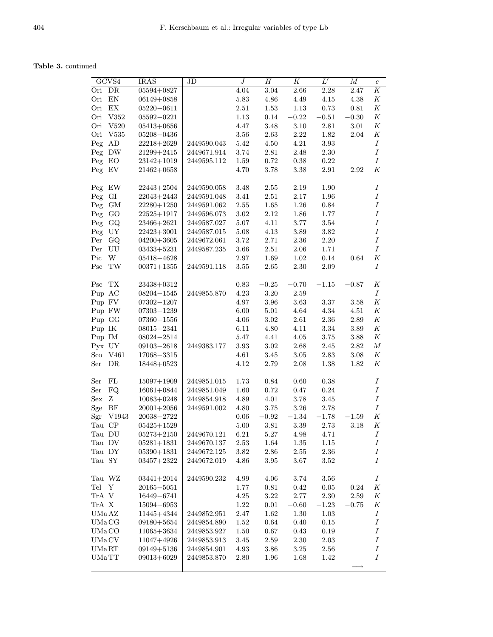|        | GCVS4                   | <b>IRAS</b>    | JD          | $\overline{J}$ | $\overline{H}$ | $\overline{K}$ | $L^{\prime}$ | $\overline{M}$ |                  |
|--------|-------------------------|----------------|-------------|----------------|----------------|----------------|--------------|----------------|------------------|
|        |                         |                |             |                |                |                |              |                | $\boldsymbol{c}$ |
| Ori    | DR                      | 05594+0827     |             | 4.04           | 3.04           | 2.66           | 2.28         | 2.47           | Κ                |
| Ori    | EN                      | $06149 + 0858$ |             | 5.83           | $4.86\,$       | 4.49           | 4.15         | 4.38           | Κ                |
| Ori    | EX                      | $05220 - 0611$ |             | $2.51\,$       | $1.53\,$       | $1.13\,$       | $0.73\,$     | $\rm 0.81$     | $\cal K$         |
| Ori    | V352                    | $05592 - 0221$ |             | 1.13           | 0.14           | $-0.22$        | $-0.51$      | $-0.30$        | $\cal K$         |
| Ori    | V520                    | $05413 + 0656$ |             | 4.47           | 3.48           | $3.10\,$       | 2.81         | 3.01           | $\cal K$         |
| Ori    | V535                    | $05208 - 0436$ |             | 3.56           | $2.63\,$       | 2.22           | 1.82         | 2.04           | Κ                |
| Peg    | AD                      | $22218 + 2629$ | 2449590.043 | 5.42           | 4.50           | 4.21           | 3.93         |                | $\cal I$         |
| Peg    | DW                      | $21299 + 2415$ | 2449671.914 | 3.74           | 2.81           | 2.48           | 2.30         |                | $\boldsymbol{I}$ |
| Peg    | $E_{\rm O}$             | $23142 + 1019$ | 2449595.112 | 1.59           | 0.72           | 0.38           | 0.22         |                | $\cal I$         |
| Peg    | EV                      | $21462 + 0658$ |             | 4.70           | 3.78           | 3.38           | 2.91         | 2.92           | $_{K}$           |
|        |                         |                |             |                |                |                |              |                |                  |
| Peg    | EW                      | $22443 + 2504$ | 2449590.058 | 3.48           | $2.55\,$       | 2.19           | 1.90         |                | $\cal I$         |
| Peg    | GI                      | $22043 + 2443$ | 2449591.048 | 3.41           | 2.51           | 2.17           | 1.96         |                | Ι                |
| Peg    | GM                      | $22280 + 1250$ | 2449591.062 | $2.55\,$       | $1.65\,$       | $1.26\,$       | 0.84         |                | Ι                |
| Peg    | GO                      | $22525 + 1917$ | 2449596.073 | 3.02           | 2.12           | 1.86           | 1.77         |                | $\cal I$         |
|        |                         |                |             |                |                |                |              |                | $\cal I$         |
| Peg    | GQ                      | $23466 + 2621$ | 2449587.027 | 5.07           | 4.11           | 3.77           | 3.54         |                |                  |
| Peg    | UY                      | $22423 + 3001$ | 2449587.015 | $5.08\,$       | 4.13           | 3.89           | 3.82         |                | Ι                |
| Per    | GQ                      | $04200 + 3605$ | 2449672.061 | 3.72           | 2.71           | 2.36           | 2.20         |                | $\cal I$         |
| Per    | UU                      | $03433 + 5231$ | 2449587.235 | 3.66           | $2.51\,$       | 2.06           | 1.71         |                | Ι                |
| Pic    | $\ensuremath{\text{W}}$ | $05418 - 4628$ |             | 2.97           | 1.69           | 1.02           | 0.14         | 0.64           | $\cal K$         |
| Psc    | $\operatorname{TW}$     | $00371 + 1355$ | 2449591.118 | $3.55\,$       | 2.65           | 2.30           | 2.09         |                | $\boldsymbol{I}$ |
|        |                         |                |             |                |                |                |              |                |                  |
| Psc    | TX                      | 23438+0312     |             | $\rm 0.83$     | $\!-0.25\!$    | $-0.70$        | $-1.15$      | $-0.87$        | Κ                |
| Pup AC |                         | $08204 - 1545$ | 2449855.870 | 4.23           | 3.20           | 2.59           |              |                | Ι                |
| Pup FV |                         | $07302 - 1207$ |             | 4.97           | 3.96           | 3.63           | 3.37         | 3.58           | Κ                |
|        | Pup FW                  | 07303-1239     |             | $6.00\,$       | 5.01           | $4.64\,$       | 4.34         | 4.51           | $\cal K$         |
| Pup GG |                         | $07360 - 1556$ |             | 4.06           | 3.02           | 2.61           | 2.36         | 2.89           | $\cal K$         |
| Pup IK |                         | $08015 - 2341$ |             | 6.11           | 4.80           | 4.11           | 3.34         | 3.89           | K                |
| Pup IM |                         | $08024 - 2514$ |             | 5.47           | 4.41           | 4.05           | 3.75         | 3.88           | $\boldsymbol{K}$ |
| Pyx UY |                         | $09103 - 2618$ | 2449383.177 | 3.93           | 3.02           | 2.68           | 2.45         | 2.82           | $\boldsymbol{M}$ |
| Sco    | V461                    | 17068-3315     |             | 4.61           | 3.45           | 3.05           | 2.83         | 3.08           | Κ                |
| Ser    | ${\rm DR}$              | $18448 + 0523$ |             | 4.12           | 2.79           | 2.08           | 1.38         | 1.82           | $_{K}$           |
|        |                         |                |             |                |                |                |              |                |                  |
| Ser    | ${\rm FL}$              | $15097 + 1909$ | 2449851.015 | 1.73           | 0.84           | 0.60           | 0.38         |                | $\boldsymbol{I}$ |
| Ser    | FQ                      | $16061 + 0844$ | 2449851.049 | 1.60           | 0.72           | 0.47           | 0.24         |                | $\cal I$         |
| Sex    | Ζ                       | $10083 + 0248$ | 2449854.918 | 4.89           | 4.01           | 3.78           | 3.45         |                | Ι                |
| Sge    | BF                      | $20001 + 2056$ | 2449591.002 | 4.80           | 3.75           | $3.26\,$       | 2.78         |                | $\boldsymbol{I}$ |
| Sgr    | V1943                   | $20038 - 2722$ |             | 0.06           | $-0.92$        | $-1.34$        | $-1.78$      | $-1.59\,$      | $\cal K$         |
| Tau CP |                         | $05425 + 1529$ |             | 5.00           | 3.81           | 3.39           | 2.73         | 3.18           | $\cal K$         |
| Tau DU |                         | $05273 + 2150$ | 2449670.121 | $6.21\,$       | $5.27\,$       | 4.98           | 4.71         |                | $\boldsymbol{I}$ |
| Tau DV |                         | $05281 + 1831$ | 2449670.137 | 2.53           | 1.64           | 1.35           | 1.15         |                | $\boldsymbol{I}$ |
| Tau DY |                         | $05390 + 1831$ | 2449672.125 | 3.82           | $2.86\,$       | 2.55           | 2.36         |                | Ι                |
| Tau SY |                         | $03457 + 2322$ | 2449672.019 | 4.86           | 3.95           | 3.67           | 3.52         |                | Ι                |
|        |                         |                |             |                |                |                |              |                |                  |
|        | Tau WZ                  | $03441 + 2014$ | 2449590.232 | 4.99           | 4.06           | 3.74           | 3.56         |                | $\cal I$         |
| Tel Y  |                         | $20165 - 5051$ |             | 1.77           | 0.81           | 0.42           | 0.05         | 0.24           | $\boldsymbol{K}$ |
| TrA V  |                         | 16449-6741     |             | $4.25\,$       | $3.22\,$       | $2.77\,$       | 2.30         | 2.59           | К                |
| TrA X  |                         | $15094 - 6953$ |             | 1.22           | 0.01           | $-0.60$        | $-1.23$      | $-0.75$        | Κ                |
| UMa AZ |                         | 11445+4344     | 2449852.951 | 2.47           | $1.62\,$       | $1.30\,$       | 1.03         |                | $\boldsymbol{I}$ |
| UMa CG |                         | $09180 + 5654$ | 2449854.890 | 1.52           | 0.64           | 0.40           | 0.15         |                | Ι                |
| UMaCO  |                         | $11065 + 3634$ | 2449853.927 | 1.50           | 0.67           | 0.43           | 0.19         |                | $\cal I$         |
| UMa CV |                         | $11047 + 4926$ | 2449853.913 | 3.45           | 2.59           | 2.30           | 2.03         |                | $\boldsymbol{I}$ |
| UMaRT  |                         | $09149 + 5136$ | 2449854.901 | 4.93           | 3.86           | 3.25           | 2.56         |                | Ι                |
| UMaTT  |                         | $09013 + 6029$ | 2449853.870 | 2.80           | 1.96           | 1.68           | 1.42         |                | Ι                |
|        |                         |                |             |                |                |                |              |                |                  |
|        |                         |                |             |                |                |                |              |                |                  |